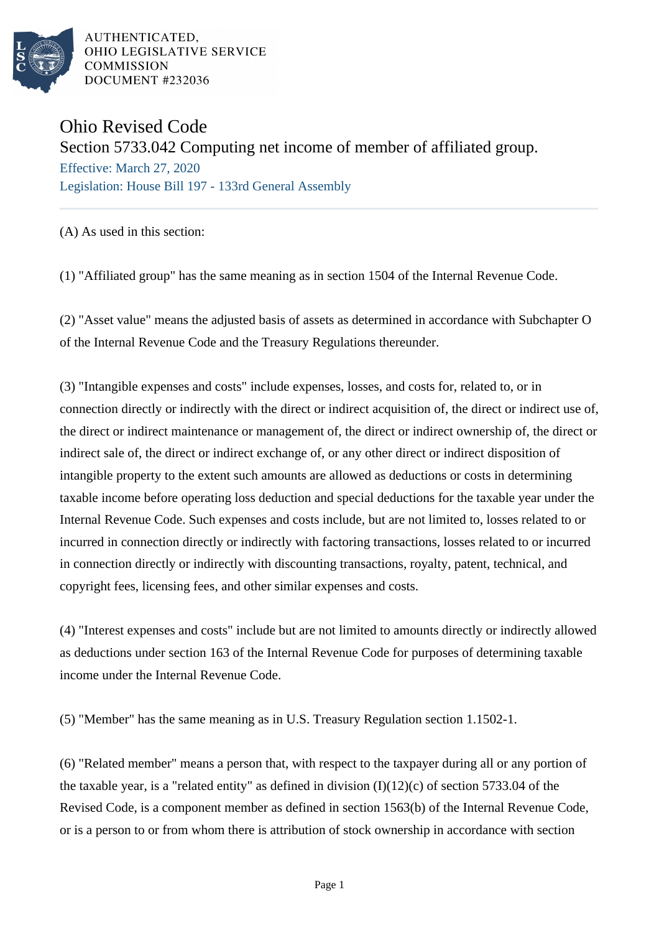

## Ohio Revised Code

## Section 5733.042 Computing net income of member of affiliated group.

Effective: March 27, 2020 Legislation: House Bill 197 - 133rd General Assembly

(A) As used in this section:

(1) "Affiliated group" has the same meaning as in section 1504 of the Internal Revenue Code.

(2) "Asset value" means the adjusted basis of assets as determined in accordance with Subchapter O of the Internal Revenue Code and the Treasury Regulations thereunder.

(3) "Intangible expenses and costs" include expenses, losses, and costs for, related to, or in connection directly or indirectly with the direct or indirect acquisition of, the direct or indirect use of, the direct or indirect maintenance or management of, the direct or indirect ownership of, the direct or indirect sale of, the direct or indirect exchange of, or any other direct or indirect disposition of intangible property to the extent such amounts are allowed as deductions or costs in determining taxable income before operating loss deduction and special deductions for the taxable year under the Internal Revenue Code. Such expenses and costs include, but are not limited to, losses related to or incurred in connection directly or indirectly with factoring transactions, losses related to or incurred in connection directly or indirectly with discounting transactions, royalty, patent, technical, and copyright fees, licensing fees, and other similar expenses and costs.

(4) "Interest expenses and costs" include but are not limited to amounts directly or indirectly allowed as deductions under section 163 of the Internal Revenue Code for purposes of determining taxable income under the Internal Revenue Code.

(5) "Member" has the same meaning as in U.S. Treasury Regulation section 1.1502-1.

(6) "Related member" means a person that, with respect to the taxpayer during all or any portion of the taxable year, is a "related entity" as defined in division  $(I)(12)(c)$  of section 5733.04 of the Revised Code, is a component member as defined in section 1563(b) of the Internal Revenue Code, or is a person to or from whom there is attribution of stock ownership in accordance with section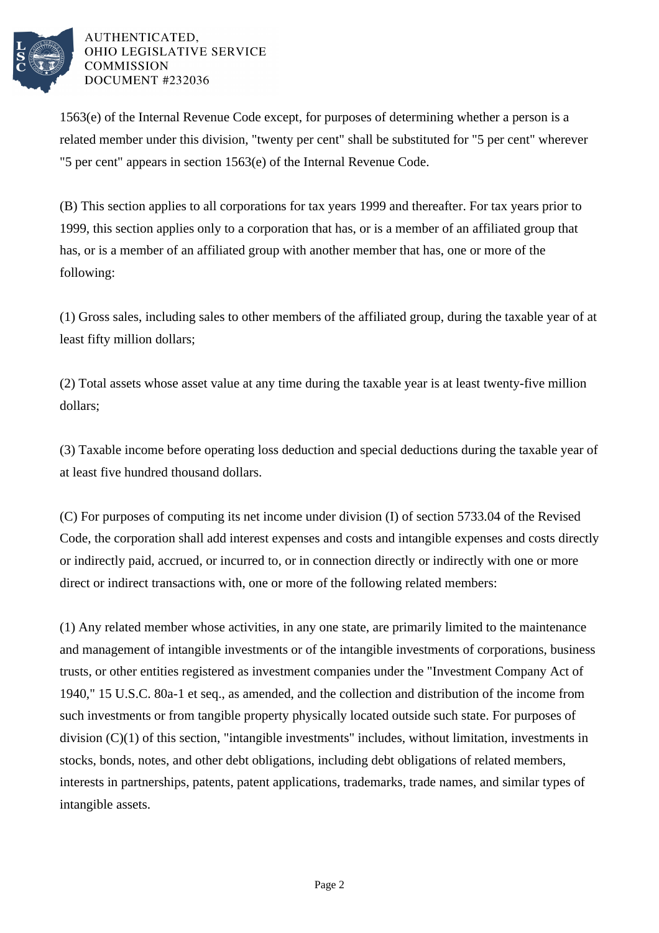

1563(e) of the Internal Revenue Code except, for purposes of determining whether a person is a related member under this division, "twenty per cent" shall be substituted for "5 per cent" wherever "5 per cent" appears in section 1563(e) of the Internal Revenue Code.

(B) This section applies to all corporations for tax years 1999 and thereafter. For tax years prior to 1999, this section applies only to a corporation that has, or is a member of an affiliated group that has, or is a member of an affiliated group with another member that has, one or more of the following:

(1) Gross sales, including sales to other members of the affiliated group, during the taxable year of at least fifty million dollars;

(2) Total assets whose asset value at any time during the taxable year is at least twenty-five million dollars;

(3) Taxable income before operating loss deduction and special deductions during the taxable year of at least five hundred thousand dollars.

(C) For purposes of computing its net income under division (I) of section 5733.04 of the Revised Code, the corporation shall add interest expenses and costs and intangible expenses and costs directly or indirectly paid, accrued, or incurred to, or in connection directly or indirectly with one or more direct or indirect transactions with, one or more of the following related members:

(1) Any related member whose activities, in any one state, are primarily limited to the maintenance and management of intangible investments or of the intangible investments of corporations, business trusts, or other entities registered as investment companies under the "Investment Company Act of 1940," 15 U.S.C. 80a-1 et seq., as amended, and the collection and distribution of the income from such investments or from tangible property physically located outside such state. For purposes of division (C)(1) of this section, "intangible investments" includes, without limitation, investments in stocks, bonds, notes, and other debt obligations, including debt obligations of related members, interests in partnerships, patents, patent applications, trademarks, trade names, and similar types of intangible assets.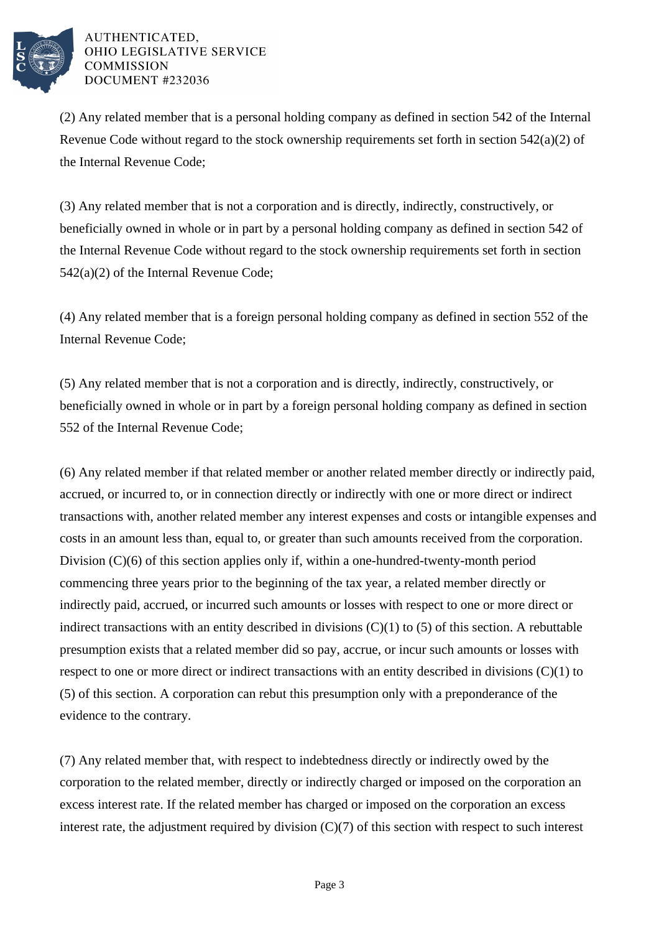

(2) Any related member that is a personal holding company as defined in section 542 of the Internal Revenue Code without regard to the stock ownership requirements set forth in section 542(a)(2) of the Internal Revenue Code;

(3) Any related member that is not a corporation and is directly, indirectly, constructively, or beneficially owned in whole or in part by a personal holding company as defined in section 542 of the Internal Revenue Code without regard to the stock ownership requirements set forth in section 542(a)(2) of the Internal Revenue Code;

(4) Any related member that is a foreign personal holding company as defined in section 552 of the Internal Revenue Code;

(5) Any related member that is not a corporation and is directly, indirectly, constructively, or beneficially owned in whole or in part by a foreign personal holding company as defined in section 552 of the Internal Revenue Code;

(6) Any related member if that related member or another related member directly or indirectly paid, accrued, or incurred to, or in connection directly or indirectly with one or more direct or indirect transactions with, another related member any interest expenses and costs or intangible expenses and costs in an amount less than, equal to, or greater than such amounts received from the corporation. Division (C)(6) of this section applies only if, within a one-hundred-twenty-month period commencing three years prior to the beginning of the tax year, a related member directly or indirectly paid, accrued, or incurred such amounts or losses with respect to one or more direct or indirect transactions with an entity described in divisions  $(C)(1)$  to  $(5)$  of this section. A rebuttable presumption exists that a related member did so pay, accrue, or incur such amounts or losses with respect to one or more direct or indirect transactions with an entity described in divisions (C)(1) to (5) of this section. A corporation can rebut this presumption only with a preponderance of the evidence to the contrary.

(7) Any related member that, with respect to indebtedness directly or indirectly owed by the corporation to the related member, directly or indirectly charged or imposed on the corporation an excess interest rate. If the related member has charged or imposed on the corporation an excess interest rate, the adjustment required by division (C)(7) of this section with respect to such interest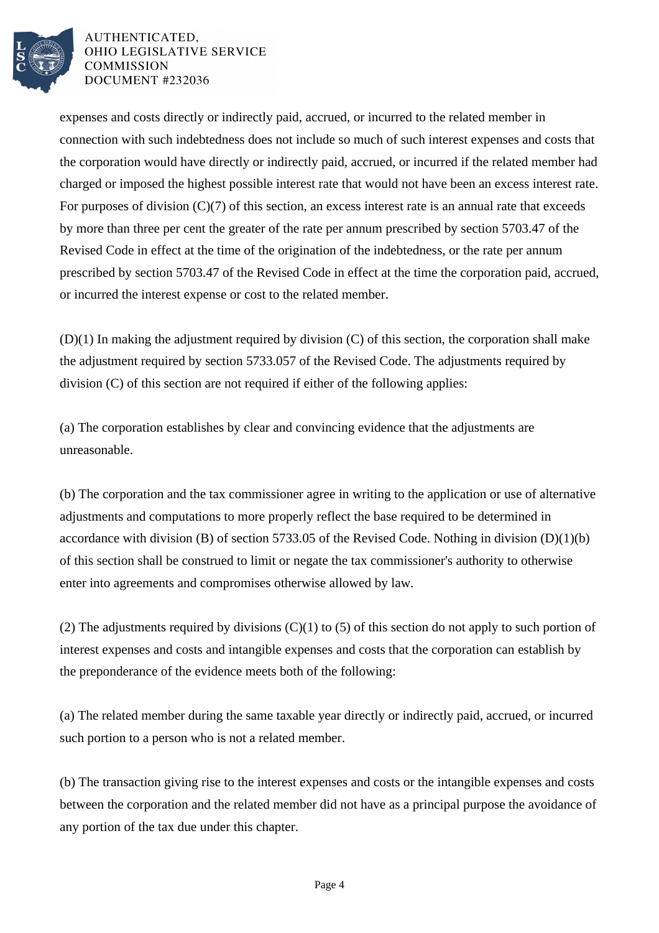

expenses and costs directly or indirectly paid, accrued, or incurred to the related member in connection with such indebtedness does not include so much of such interest expenses and costs that the corporation would have directly or indirectly paid, accrued, or incurred if the related member had charged or imposed the highest possible interest rate that would not have been an excess interest rate. For purposes of division  $(C)(7)$  of this section, an excess interest rate is an annual rate that exceeds by more than three per cent the greater of the rate per annum prescribed by section 5703.47 of the Revised Code in effect at the time of the origination of the indebtedness, or the rate per annum prescribed by section 5703.47 of the Revised Code in effect at the time the corporation paid, accrued, or incurred the interest expense or cost to the related member.

(D)(1) In making the adjustment required by division (C) of this section, the corporation shall make the adjustment required by section 5733.057 of the Revised Code. The adjustments required by division (C) of this section are not required if either of the following applies:

(a) The corporation establishes by clear and convincing evidence that the adjustments are unreasonable.

(b) The corporation and the tax commissioner agree in writing to the application or use of alternative adjustments and computations to more properly reflect the base required to be determined in accordance with division (B) of section 5733.05 of the Revised Code. Nothing in division (D)(1)(b) of this section shall be construed to limit or negate the tax commissioner's authority to otherwise enter into agreements and compromises otherwise allowed by law.

(2) The adjustments required by divisions (C)(1) to (5) of this section do not apply to such portion of interest expenses and costs and intangible expenses and costs that the corporation can establish by the preponderance of the evidence meets both of the following:

(a) The related member during the same taxable year directly or indirectly paid, accrued, or incurred such portion to a person who is not a related member.

(b) The transaction giving rise to the interest expenses and costs or the intangible expenses and costs between the corporation and the related member did not have as a principal purpose the avoidance of any portion of the tax due under this chapter.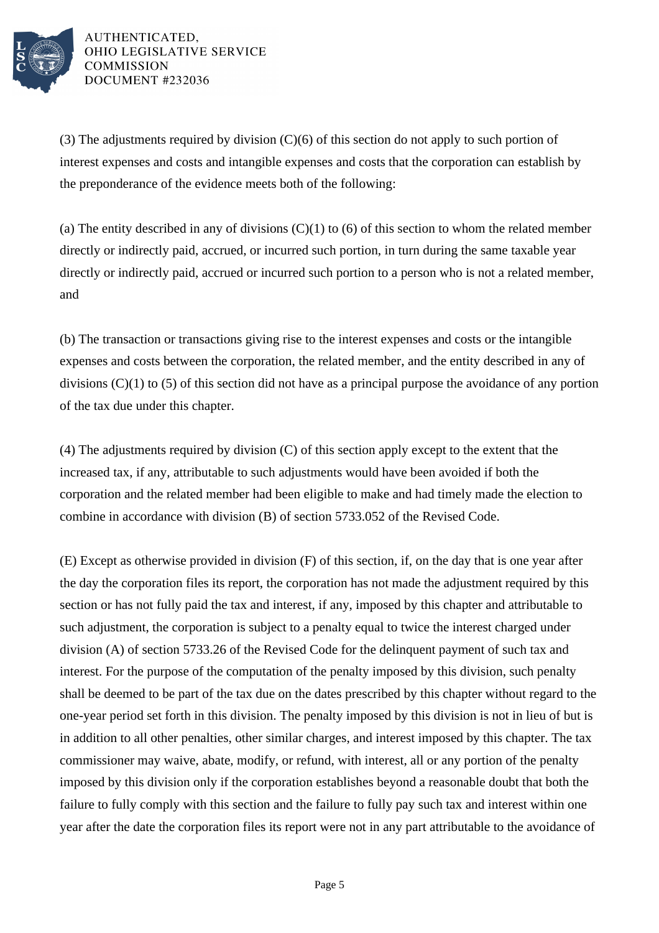

(3) The adjustments required by division (C)(6) of this section do not apply to such portion of interest expenses and costs and intangible expenses and costs that the corporation can establish by the preponderance of the evidence meets both of the following:

(a) The entity described in any of divisions  $(C)(1)$  to (6) of this section to whom the related member directly or indirectly paid, accrued, or incurred such portion, in turn during the same taxable year directly or indirectly paid, accrued or incurred such portion to a person who is not a related member, and

(b) The transaction or transactions giving rise to the interest expenses and costs or the intangible expenses and costs between the corporation, the related member, and the entity described in any of divisions (C)(1) to (5) of this section did not have as a principal purpose the avoidance of any portion of the tax due under this chapter.

(4) The adjustments required by division (C) of this section apply except to the extent that the increased tax, if any, attributable to such adjustments would have been avoided if both the corporation and the related member had been eligible to make and had timely made the election to combine in accordance with division (B) of section 5733.052 of the Revised Code.

(E) Except as otherwise provided in division (F) of this section, if, on the day that is one year after the day the corporation files its report, the corporation has not made the adjustment required by this section or has not fully paid the tax and interest, if any, imposed by this chapter and attributable to such adjustment, the corporation is subject to a penalty equal to twice the interest charged under division (A) of section 5733.26 of the Revised Code for the delinquent payment of such tax and interest. For the purpose of the computation of the penalty imposed by this division, such penalty shall be deemed to be part of the tax due on the dates prescribed by this chapter without regard to the one-year period set forth in this division. The penalty imposed by this division is not in lieu of but is in addition to all other penalties, other similar charges, and interest imposed by this chapter. The tax commissioner may waive, abate, modify, or refund, with interest, all or any portion of the penalty imposed by this division only if the corporation establishes beyond a reasonable doubt that both the failure to fully comply with this section and the failure to fully pay such tax and interest within one year after the date the corporation files its report were not in any part attributable to the avoidance of